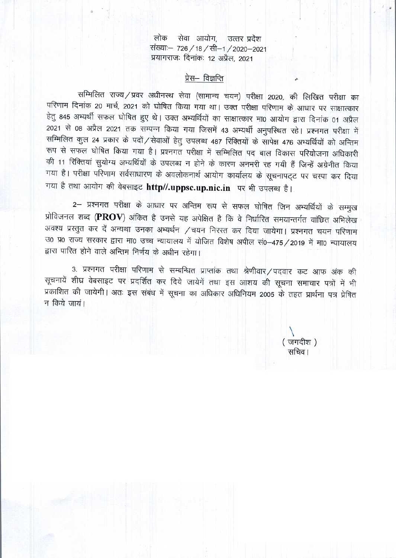सेवा आयोग, उत्तर प्रदेश लोक संख्याः- 726 / 18 / सी-1 / 2020-2021 प्रयागराजः दिनांकः 12 अप्रैल, 2021

# प्रेस– विज्ञप्ति

सम्मिलित राज्य / प्रवर अधीनस्थ सेवा (सामान्य चयन) परीक्षा 2020, की लिखित परीक्षा का परिणाम दिनांक 20 मार्च, 2021 को घोषित किया गया था। उक्त परीक्षा परिणाम के आधार पर साक्षात्कार हेतू 845 अभ्यर्थी सफल घोषित हुए थे। उक्त अभ्यर्थियों का साक्षात्कार मा0 आयोग द्वारा दिनांक 01 अप्रैल 2021 से 08 अप्रैल 2021 तक सम्पन्न किया गया जिसमें 43 अभ्यर्थी अनुपस्थित रहे। प्रश्नगत परीक्षा में सम्मिलित कुल 24 प्रकार के पदों / सेवाओं हेतु उपलब्ध 487 रिक्तियों के सापेक्ष 476 अभ्यर्थियों को अन्तिम रूप से सफल घोषित किया गया है। प्रश्नगत परीक्षा में सम्मिलित पद बाल विकास परियोजना अधिकारी की 11 रिक्तियां सुयोग्य अभ्यर्थियों के उपलब्ध न होने के कारण अनभरी रह गयी हैं जिन्हें अग्रेनीत किया गया है। परीक्षा परिणाम सर्वसाधारण के अवलोकनार्थ आयोग कार्यालय के सूचनापट्ट पर चस्पा कर दिया गया है तथा आयोग की वेबसाइट http//.uppsc.up.nic.in पर भी उपलब्ध है।

2– प्रश्नगत परीक्षा के आधार पर अन्तिम रूप से सफल घोषित जिन अभ्यर्थियों के सम्मुख प्रोविजनल शब्द (PROV) अंकित है उनसे यह अपेक्षित है कि वे निर्धारित समयान्तर्गत वांछित अभिलेख अवश्य प्रस्तुत कर दें अन्यथा उनका अभ्यर्थन /चयन निरस्त कर दिया जायेगा। प्रश्नगत चयन परिणाम उ0 प्र0 राज्य सरकार द्वारा मा0 उच्च न्यायालय में योजित विशेष अपील सं0-475/2019 में मा0 न्यायालय द्वारा पारित होने वाले अन्तिम निर्णय के अधीन रहेगा।

3. प्रश्नगत परीक्षा परिणाम से सम्बन्धित प्राप्तांक तथा श्रेणीवार/पदवार कट आफ अंक की सूचनायें शीघ्र वेबसाइट पर प्रदर्शित कर दिये जायेगें तथा इस आशय की सूचना समाचार पत्रों में भी प्रकाशित की जायेगी। अतः इस संबंध में सूचना का अधिकार अधिनियम 2005 के तहत प्रार्थना पत्र प्रेषित न किये जायं।

(जगदीश) सचिव ।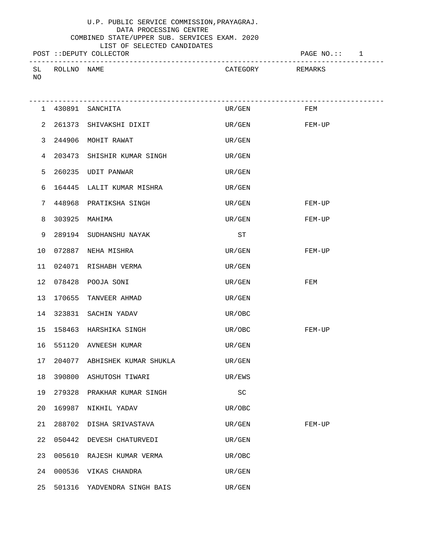### U.P. PUBLIC SERVICE COMMISSION,PRAYAGRAJ. DATA PROCESSING CENTRE

#### COMBINED STATE/UPPER SUB. SERVICES EXAM. 2020 LIST OF SELECTED CANDIDATES

POST ::DEPUTY COLLECTOR POST :: 1 ------------------------------------------------------------------------------------- CATEGORY REMARKS NO

|    |        | 1 430891 SANCHITA            | UR/GEN                      | FEM    |
|----|--------|------------------------------|-----------------------------|--------|
| 2  |        | 261373 SHIVAKSHI DIXIT       | UR/GEN FEM-UP               |        |
| 3  |        | 244906 MOHIT RAWAT           | UR/GEN                      |        |
| 4  |        | 203473 SHISHIR KUMAR SINGH   | UR/GEN                      |        |
| 5  |        | 260235 UDIT PANWAR           | UR/GEN                      |        |
| 6  |        | 164445 LALIT KUMAR MISHRA    | UR/GEN                      |        |
| 7  |        | 448968 PRATIKSHA SINGH       | UR/GEN                      | FEM-UP |
| 8  |        | 303925 MAHIMA                | UR/GEN                      | FEM-UP |
| 9  |        | 289194 SUDHANSHU NAYAK       | ST                          |        |
| 10 |        | 072887 NEHA MISHRA           | UR/GEN                      | FEM-UP |
| 11 |        | 024071 RISHABH VERMA         | UR/GEN                      |        |
| 12 |        | 078428 POOJA SONI            | UR/GEN                      | FEM    |
| 13 |        | 170655 TANVEER AHMAD         | UR/GEN                      |        |
| 14 |        | 323831 SACHIN YADAV          | UR/OBC                      |        |
| 15 |        | 158463 HARSHIKA SINGH        | UR/OBC                      | FEM-UP |
| 16 |        | 551120 AVNEESH KUMAR         | UR/GEN                      |        |
| 17 |        | 204077 ABHISHEK KUMAR SHUKLA | UR/GEN                      |        |
| 18 |        | 390800 ASHUTOSH TIWARI       | UR/EWS                      |        |
| 19 |        | 279328 PRAKHAR KUMAR SINGH   | $\protect\operatorname{SC}$ |        |
| 20 |        | 169987 NIKHIL YADAV          | UR/OBC                      |        |
| 21 | 288702 | DISHA SRIVASTAVA             | UR/GEN                      | FEM-UP |
| 22 | 050442 | DEVESH CHATURVEDI            | UR/GEN                      |        |
| 23 | 005610 | RAJESH KUMAR VERMA           | UR/OBC                      |        |
| 24 | 000536 | VIKAS CHANDRA                | UR/GEN                      |        |
| 25 | 501316 | YADVENDRA SINGH BAIS         | UR/GEN                      |        |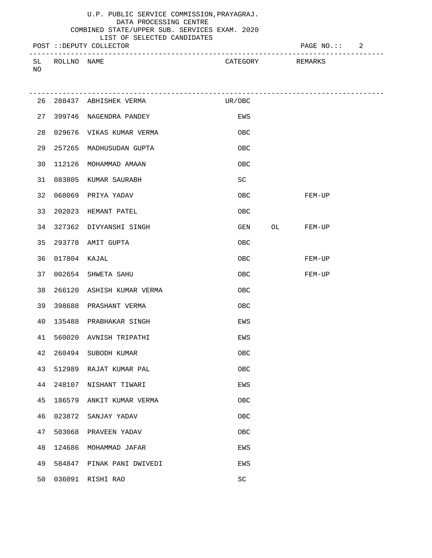# U.P. PUBLIC SERVICE COMMISSION,PRAYAGRAJ. DATA PROCESSING CENTRE

### COMBINED STATE/UPPER SUB. SERVICES EXAM. 2020 LIST OF SELECTED CANDIDATES

POST ::DEPUTY COLLECTOR **PAGE NO.::** 2

|                |              |      |              | ___      |
|----------------|--------------|------|--------------|----------|
|                |              |      |              |          |
| $\Gamma$<br>◡∸ | TTIC.<br>RNT | NAME | שרחים יווי ב | ? Н:МДНК |
|                |              |      |              |          |
| NO             |              |      |              |          |
|                |              |      |              |          |

|    |              | 26 288437 ABHISHEK VERMA  | UR/OBC     |           |
|----|--------------|---------------------------|------------|-----------|
| 27 |              | 399746 NAGENDRA PANDEY    | EWS        |           |
| 28 |              | 029676 VIKAS KUMAR VERMA  | OBC        |           |
| 29 |              | 257265 MADHUSUDAN GUPTA   | OBC        |           |
| 30 |              | 112126 MOHAMMAD AMAAN     | OBC        |           |
| 31 |              | 083805 KUMAR SAURABH      | SC         |           |
| 32 |              | 068069 PRIYA YADAV        | OBC        | FEM-UP    |
| 33 |              | 202023 HEMANT PATEL       | OBC        |           |
| 34 |              | 327362 DIVYANSHI SINGH    | GEN        | OL FEM-UP |
| 35 |              | 293778 AMIT GUPTA         | OBC        |           |
| 36 | 017804 KAJAL |                           | OBC        | FEM-UP    |
| 37 |              | 002654 SHWETA SAHU        | OBC.       | FEM-UP    |
| 38 |              | 266120 ASHISH KUMAR VERMA | <b>OBC</b> |           |
| 39 |              | 398688 PRASHANT VERMA     | OBC        |           |
| 40 |              | 135488 PRABHAKAR SINGH    | EWS        |           |
| 41 |              | 560020 AVNISH TRIPATHI    | EWS        |           |
| 42 |              | 260494 SUBODH KUMAR       | OBC        |           |
| 43 |              | 512989 RAJAT KUMAR PAL    | OBC        |           |
| 44 |              | 248107 NISHANT TIWARI     | EWS        |           |
| 45 |              | 186579 ANKIT KUMAR VERMA  | OBC        |           |
| 46 | 023872       | SANJAY YADAV              | OBC        |           |
| 47 | 503068       | PRAVEEN YADAV             | OBC        |           |
| 48 | 124686       | MOHAMMAD JAFAR            | EWS        |           |
| 49 | 584847       | PINAK PANI DWIVEDI        | EWS        |           |
| 50 |              | 036091 RISHI RAO          | SC         |           |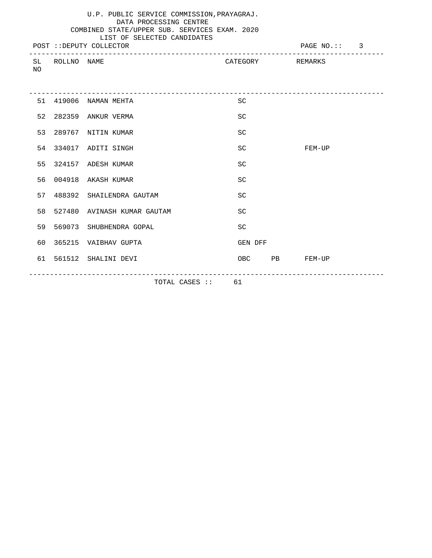|     |                | U.P. PUBLIC SERVICE COMMISSION, PRAYAGRAJ.<br>DATA PROCESSING CENTRE<br>COMBINED STATE/UPPER SUB. SERVICES EXAM. 2020<br>LIST OF SELECTED CANDIDATES<br>POST :: DEPUTY COLLECTOR |                  |               | PAGE NO.:: 3 |  |
|-----|----------------|----------------------------------------------------------------------------------------------------------------------------------------------------------------------------------|------------------|---------------|--------------|--|
| NO. | SL ROLLNO NAME |                                                                                                                                                                                  | CATEGORY REMARKS |               |              |  |
|     |                | 51 419006 NAMAN MEHTA                                                                                                                                                            | <b>SC</b>        |               |              |  |
|     |                | 52 282359 ANKUR VERMA                                                                                                                                                            | <b>SC</b>        |               |              |  |
|     |                | 53 289767 NITIN KUMAR                                                                                                                                                            | <b>SC</b>        |               |              |  |
|     |                | 54 334017 ADITI SINGH                                                                                                                                                            | <b>SC</b>        |               | $FEM-UP$     |  |
|     |                | 55 324157 ADESH KUMAR                                                                                                                                                            | <b>SC</b>        |               |              |  |
|     |                | 56 004918 AKASH KUMAR                                                                                                                                                            | SC               |               |              |  |
|     |                | 57 488392 SHAILENDRA GAUTAM                                                                                                                                                      | SC               |               |              |  |
|     |                | 58 527480 AVINASH KUMAR GAUTAM                                                                                                                                                   | <b>SC</b>        |               |              |  |
|     |                | 59 569073 SHUBHENDRA GOPAL                                                                                                                                                       | <b>SC</b>        |               |              |  |
|     |                | 60 365215 VAIBHAV GUPTA                                                                                                                                                          | GEN DFF          |               |              |  |
|     |                | 61 561512 SHALINI DEVI                                                                                                                                                           |                  | OBC PB FEM-UP |              |  |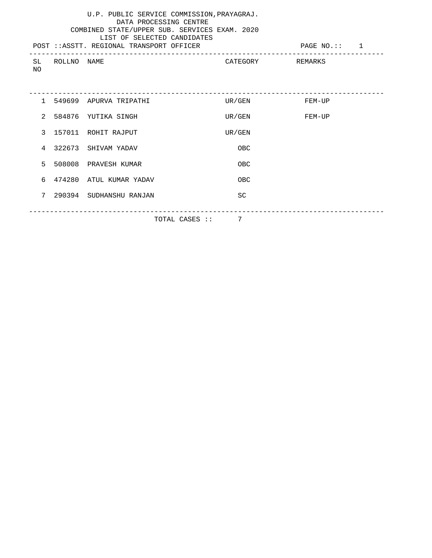|               |             | U.P. PUBLIC SERVICE COMMISSION, PRAYAGRAJ.<br>DATA PROCESSING CENTRE<br>COMBINED STATE/UPPER SUB. SERVICES EXAM. 2020<br>LIST OF SELECTED CANDIDATES<br>POST :: ASSTT. REGIONAL TRANSPORT OFFICER |                  | PAGE NO.:: 1 |
|---------------|-------------|---------------------------------------------------------------------------------------------------------------------------------------------------------------------------------------------------|------------------|--------------|
| SL<br>NO.     | ROLLNO NAME |                                                                                                                                                                                                   | CATEGORY REMARKS |              |
|               |             | 1 549699 APURVA TRIPATHI                                                                                                                                                                          | UR/GEN           | FEM-UP       |
| $2^{\circ}$   |             | 584876 YUTIKA SINGH                                                                                                                                                                               | UR/GEN           | FEM-UP       |
| $\mathcal{L}$ |             | 157011 ROHIT RAJPUT                                                                                                                                                                               | UR/GEN           |              |
|               |             | 4 322673 SHIVAM YADAV                                                                                                                                                                             | OBC              |              |
| 5             |             | 508008 PRAVESH KUMAR                                                                                                                                                                              | OBC.             |              |
| 6             |             | 474280 ATUL KUMAR YADAV                                                                                                                                                                           | OBC              |              |
| 7             |             | 290394 SUDHANSHU RANJAN                                                                                                                                                                           | SC               |              |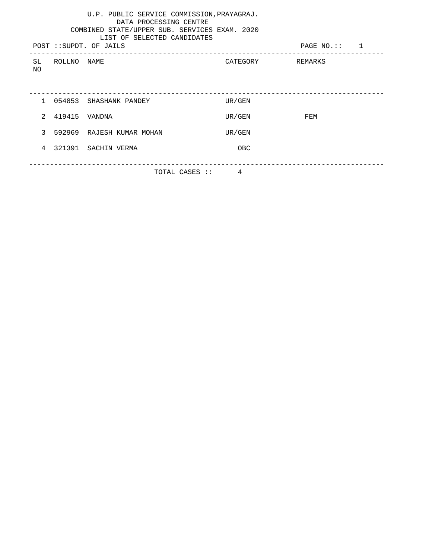|                     |                 | U.P. PUBLIC SERVICE COMMISSION, PRAYAGRAJ.<br>DATA PROCESSING CENTRE<br>COMBINED STATE/UPPER SUB. SERVICES EXAM. 2020<br>LIST OF SELECTED CANDIDATES<br>POST :: SUPDT. OF JAILS |                  | PAGE $NO$ .:: 1 |  |
|---------------------|-----------------|---------------------------------------------------------------------------------------------------------------------------------------------------------------------------------|------------------|-----------------|--|
| NO                  | SL ROLLNO NAME  |                                                                                                                                                                                 | CATEGORY REMARKS |                 |  |
|                     |                 |                                                                                                                                                                                 |                  |                 |  |
|                     |                 | 1 054853 SHASHANK PANDEY                                                                                                                                                        | UR/GEN           |                 |  |
|                     | 2 419415 VANDNA |                                                                                                                                                                                 | UR/GEN           | FEM             |  |
|                     |                 | 3 592969 RAJESH KUMAR MOHAN                                                                                                                                                     | UR/GEN           |                 |  |
|                     |                 | 4 321391 SACHIN VERMA                                                                                                                                                           | <b>OBC</b>       |                 |  |
| 4<br>TOTAL CASES :: |                 |                                                                                                                                                                                 |                  |                 |  |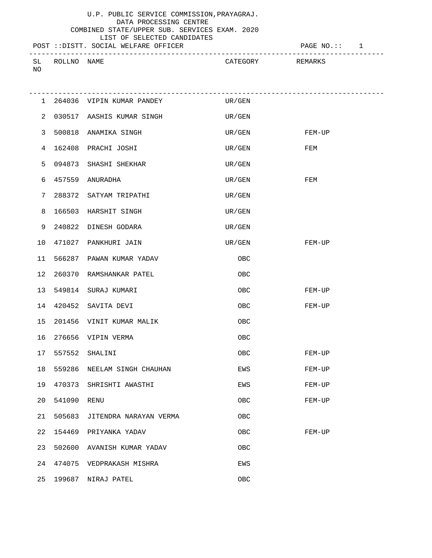# LIST OF SELECTED CANDIDATES

|  |                                       | ___________ | -------- |
|--|---------------------------------------|-------------|----------|
|  | POST :: DISTT, SOCIAL WELFARE OFFICER |             |          |

POST ::DISTT. SOCIAL WELFARE OFFICER FOR THE PAGE NO.:: 1

| SL<br>NO     | ROLLNO | NAME                      | CATEGORY | REMARKS |
|--------------|--------|---------------------------|----------|---------|
| $\mathbf{1}$ |        | 264036 VIPIN KUMAR PANDEY | UR/GEN   |         |

| 2  |        | 030517 AASHIS KUMAR SINGH | UR/GEN |        |
|----|--------|---------------------------|--------|--------|
| 3  | 500818 | ANAMIKA SINGH             | UR/GEN | FEM-UP |
| 4  | 162408 | PRACHI JOSHI              | UR/GEN | FEM    |
| 5  | 094873 | SHASHI SHEKHAR            | UR/GEN |        |
| 6  | 457559 | ANURADHA                  | UR/GEN | FEM    |
| 7  | 288372 | SATYAM TRIPATHI           | UR/GEN |        |
| 8  | 166503 | HARSHIT SINGH             | UR/GEN |        |
| 9  | 240822 | DINESH GODARA             | UR/GEN |        |
| 10 | 471027 | PANKHURI JAIN             | UR/GEN | FEM-UP |
| 11 | 566287 | PAWAN KUMAR YADAV         | OBC    |        |
| 12 | 260370 | RAMSHANKAR PATEL          | OBC    |        |
| 13 | 549814 | SURAJ KUMARI              | OBC    | FEM-UP |
| 14 | 420452 | SAVITA DEVI               | 0BC    | FEM-UP |
| 15 | 201456 | VINIT KUMAR MALIK         | OBC    |        |
| 16 | 276656 | VIPIN VERMA               | OBC    |        |
| 17 | 557552 | SHALINI                   | OBC    | FEM-UP |
| 18 | 559286 | NEELAM SINGH CHAUHAN      | EWS    | FEM-UP |
| 19 | 470373 | SHRISHTI AWASTHI          | EWS    | FEM-UP |
| 20 | 541090 | RENU                      | OBC    | FEM-UP |
| 21 | 505683 | JITENDRA NARAYAN VERMA    | OBC    |        |
| 22 | 154469 | PRIYANKA YADAV            | OBC    | FEM-UP |
| 23 | 502600 | AVANISH KUMAR YADAV       | OBC    |        |
| 24 | 474075 | VEDPRAKASH MISHRA         | EWS    |        |
| 25 | 199687 | NIRAJ PATEL               | OBC    |        |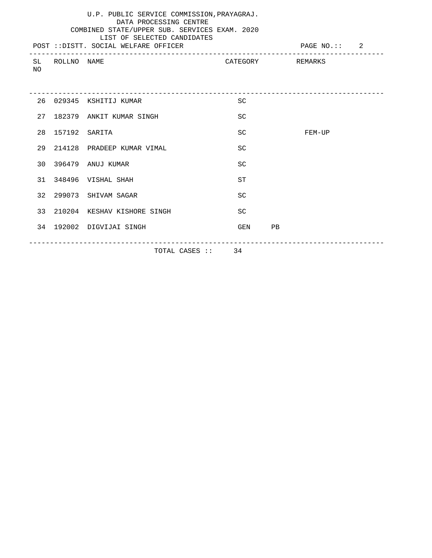|    |                  | U.P. PUBLIC SERVICE COMMISSION, PRAYAGRAJ.<br>DATA PROCESSING CENTRE<br>COMBINED STATE/UPPER SUB. SERVICES EXAM. 2020<br>LIST OF SELECTED CANDIDATES<br>POST :: DISTT. SOCIAL WELFARE OFFICER |           | PAGE NO.:: 2     |
|----|------------------|-----------------------------------------------------------------------------------------------------------------------------------------------------------------------------------------------|-----------|------------------|
| NO | SL ROLLNO NAME   |                                                                                                                                                                                               |           | CATEGORY REMARKS |
|    |                  |                                                                                                                                                                                               |           |                  |
|    |                  | 26 029345 KSHITIJ KUMAR                                                                                                                                                                       | <b>SC</b> |                  |
|    |                  | 27 182379 ANKIT KUMAR SINGH                                                                                                                                                                   | <b>SC</b> |                  |
|    | 28 157192 SARITA |                                                                                                                                                                                               | SC        | FEM-UP           |
|    |                  | 29 214128 PRADEEP KUMAR VIMAL                                                                                                                                                                 | <b>SC</b> |                  |
|    |                  | 30 396479 ANUJ KUMAR                                                                                                                                                                          | <b>SC</b> |                  |
|    |                  | 31 348496 VISHAL SHAH                                                                                                                                                                         | <b>ST</b> |                  |
|    |                  | 32 299073 SHIVAM SAGAR                                                                                                                                                                        | <b>SC</b> |                  |
|    |                  | 33 210204 KESHAV KISHORE SINGH                                                                                                                                                                | <b>SC</b> |                  |
|    |                  | 34 192002 DIGVIJAI SINGH                                                                                                                                                                      | GEN PB    |                  |
|    |                  | TOTAL CASES :: 34                                                                                                                                                                             |           |                  |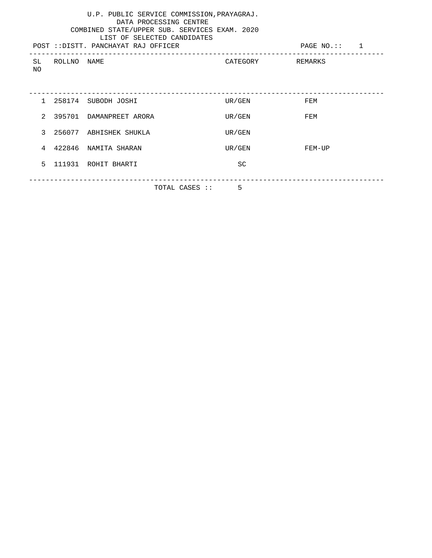| U.P. PUBLIC SERVICE COMMISSION, PRAYAGRAJ.<br>DATA PROCESSING CENTRE<br>COMBINED STATE/UPPER SUB. SERVICES EXAM. 2020<br>LIST OF SELECTED CANDIDATES<br>POST :: DISTT. PANCHAYAT RAJ OFFICER<br>PAGE NO.:: 1 |             |                           |                  |        |  |
|--------------------------------------------------------------------------------------------------------------------------------------------------------------------------------------------------------------|-------------|---------------------------|------------------|--------|--|
| SL<br>NΟ                                                                                                                                                                                                     | ROLLNO NAME |                           | CATEGORY REMARKS |        |  |
|                                                                                                                                                                                                              |             | 1 258174 SUBODH JOSHI     | UR/GEN           | FEM    |  |
|                                                                                                                                                                                                              |             | 2 395701 DAMANPREET ARORA | UR/GEN           | FEM    |  |
|                                                                                                                                                                                                              |             | 3 256077 ABHISHEK SHUKLA  | UR/GEN           |        |  |
|                                                                                                                                                                                                              |             | 4 422846 NAMITA SHARAN    | UR/GEN           | FEM-UP |  |
| 5                                                                                                                                                                                                            |             | 111931 ROHIT BHARTI       | <b>SC</b>        |        |  |
|                                                                                                                                                                                                              |             | TOTAL CASES ::            | .5               |        |  |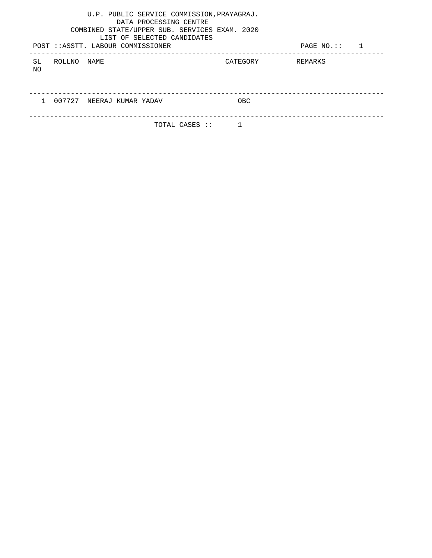| U.P. PUBLIC SERVICE COMMISSION, PRAYAGRAJ.<br>DATA PROCESSING CENTRE<br>COMBINED STATE/UPPER SUB. SERVICES EXAM. 2020<br>LIST OF SELECTED CANDIDATES<br>POST :: ASSTT. LABOUR COMMISSIONER |          | PAGE $NO$ .:: 1 |
|--------------------------------------------------------------------------------------------------------------------------------------------------------------------------------------------|----------|-----------------|
| ROLLNO<br>SL<br>NAME<br>NO.                                                                                                                                                                | CATEGORY | REMARKS         |
|                                                                                                                                                                                            |          |                 |
| 007727<br>NEERAJ KUMAR YADAV                                                                                                                                                               | OBC      |                 |
| TOTAL CASES ::                                                                                                                                                                             |          |                 |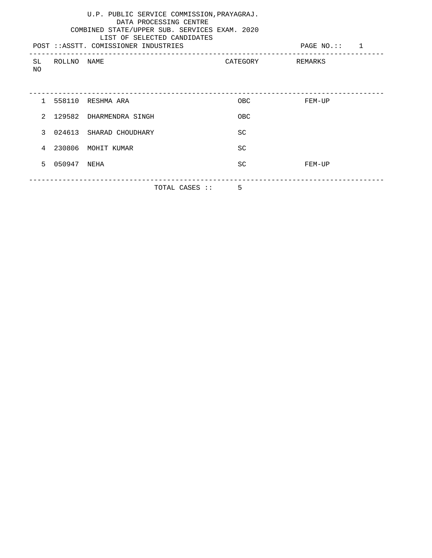| U.P. PUBLIC SERVICE COMMISSION, PRAYAGRAJ.<br>DATA PROCESSING CENTRE<br>COMBINED STATE/UPPER SUB. SERVICES EXAM. 2020<br>LIST OF SELECTED CANDIDATES<br>POST :: ASSTT. COMISSIONER INDUSTRIES<br>PAGE $NO$ .:: 1 |             |                                                                      |                |                  |  |  |
|------------------------------------------------------------------------------------------------------------------------------------------------------------------------------------------------------------------|-------------|----------------------------------------------------------------------|----------------|------------------|--|--|
| SL<br>NO.                                                                                                                                                                                                        | ROLLNO NAME |                                                                      |                | CATEGORY REMARKS |  |  |
|                                                                                                                                                                                                                  |             |                                                                      |                |                  |  |  |
|                                                                                                                                                                                                                  |             | 1 558110 RESHMA ARA                                                  | OBC            | FEM-UP           |  |  |
| $2^{1}$                                                                                                                                                                                                          |             | 129582 DHARMENDRA SINGH                                              | <b>OBC</b>     |                  |  |  |
| $\mathcal{L}$                                                                                                                                                                                                    |             | 024613 SHARAD CHOUDHARY                                              | SC             |                  |  |  |
| $\overline{4}$                                                                                                                                                                                                   | 230806      | MOHIT KUMAR                                                          | SC             |                  |  |  |
| 5                                                                                                                                                                                                                | 050947 NEHA |                                                                      | SC             | FEM-UP           |  |  |
|                                                                                                                                                                                                                  |             | $\pi$ $\cap$ $\pi$ $\pi$ $\cap$ $\pi$ $\circ$ $\pi$ $\circ$ $\cdots$ | $\blacksquare$ |                  |  |  |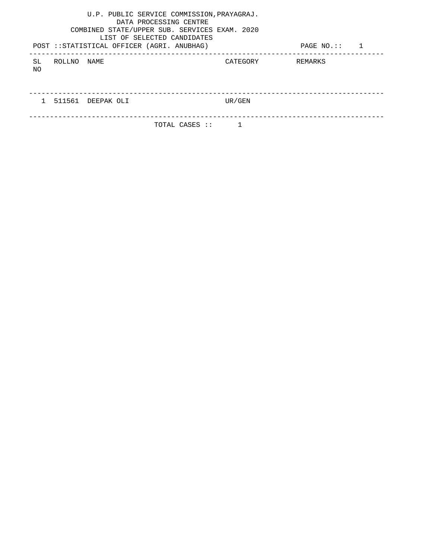|           |        | U.P. PUBLIC SERVICE COMMISSION, PRAYAGRAJ.<br>COMBINED STATE/UPPER SUB. SERVICES EXAM. 2020<br>POST :: STATISTICAL OFFICER (AGRI. ANUBHAG) | DATA PROCESSING CENTRE<br>LIST OF SELECTED CANDIDATES |          | PAGE $NO$ .:: 1 |  |
|-----------|--------|--------------------------------------------------------------------------------------------------------------------------------------------|-------------------------------------------------------|----------|-----------------|--|
| SL<br>NO. | ROLLNO | NAME                                                                                                                                       |                                                       | CATEGORY | REMARKS         |  |
|           |        |                                                                                                                                            |                                                       |          |                 |  |
|           |        | 511561 DEEPAK OLI                                                                                                                          |                                                       | UR/GEN   |                 |  |
|           |        |                                                                                                                                            |                                                       |          |                 |  |
|           |        |                                                                                                                                            | TOTAL CASES ::                                        |          |                 |  |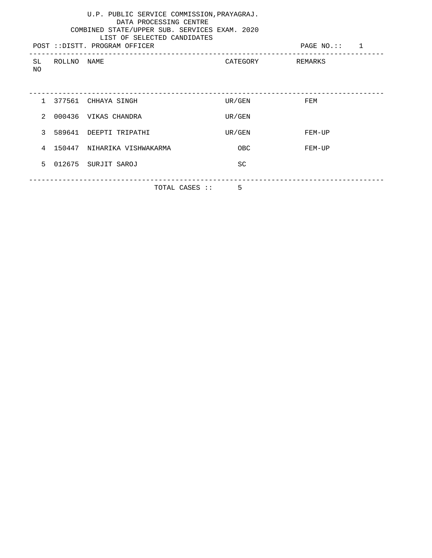| U.P. PUBLIC SERVICE COMMISSION, PRAYAGRAJ.<br>DATA PROCESSING CENTRE<br>COMBINED STATE/UPPER SUB. SERVICES EXAM. 2020<br>LIST OF SELECTED CANDIDATES<br>POST :: DISTT. PROGRAM OFFICER |                |                               |            |                  |  |  |
|----------------------------------------------------------------------------------------------------------------------------------------------------------------------------------------|----------------|-------------------------------|------------|------------------|--|--|
| NO.                                                                                                                                                                                    | SL ROLLNO NAME |                               |            | CATEGORY REMARKS |  |  |
|                                                                                                                                                                                        |                | 1 377561 CHHAYA SINGH         | UR/GEN FEM |                  |  |  |
|                                                                                                                                                                                        |                | 2 000436 VIKAS CHANDRA        | UR/GEN     |                  |  |  |
|                                                                                                                                                                                        |                | 3 589641 DEEPTI TRIPATHI      | UR/GEN     | FEM-UP           |  |  |
|                                                                                                                                                                                        |                | 4 150447 NIHARIKA VISHWAKARMA | OBC        | FEM-UP           |  |  |
| 5                                                                                                                                                                                      |                | 012675 SURJIT SAROJ           | SC         |                  |  |  |
|                                                                                                                                                                                        |                | TOTAL CASES ::                | .5         |                  |  |  |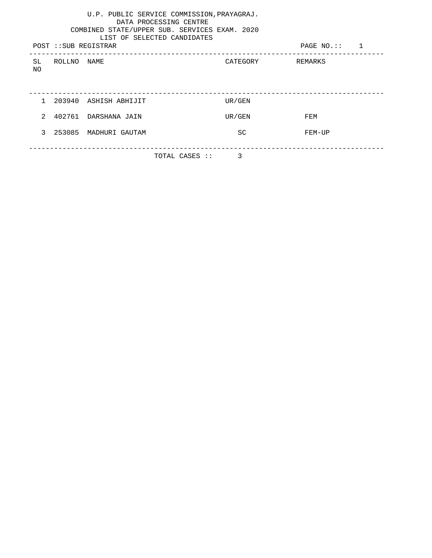| U.P. PUBLIC SERVICE COMMISSION, PRAYAGRAJ.<br>DATA PROCESSING CENTRE<br>COMBINED STATE/UPPER SUB. SERVICES EXAM. 2020<br>LIST OF SELECTED CANDIDATES |             |                         |                |           |                  |  |  |
|------------------------------------------------------------------------------------------------------------------------------------------------------|-------------|-------------------------|----------------|-----------|------------------|--|--|
|                                                                                                                                                      |             | POST :: SUB REGISTRAR   |                |           | PAGE $NO$ .:: 1  |  |  |
| SL<br>NO                                                                                                                                             | ROLLNO NAME |                         |                |           | CATEGORY REMARKS |  |  |
|                                                                                                                                                      |             | 1 203940 ASHISH ABHIJIT |                | UR/GEN    |                  |  |  |
| $2^{\circ}$                                                                                                                                          |             | 402761 DARSHANA JAIN    |                | UR/GEN    | FEM              |  |  |
| 3                                                                                                                                                    |             | 253085 MADHURI GAUTAM   |                | <b>SC</b> | FEM-UP           |  |  |
|                                                                                                                                                      |             |                         | TOTAL CASES :: | 3         |                  |  |  |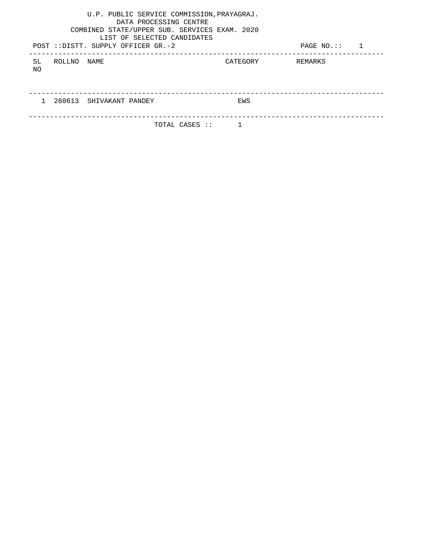|           |        | U.P. PUBLIC SERVICE COMMISSION, PRAYAGRAJ.<br>DATA PROCESSING CENTRE<br>COMBINED STATE/UPPER SUB. SERVICES EXAM. 2020<br>LIST OF SELECTED CANDIDATES<br>POST :: DISTT. SUPPLY OFFICER GR.-2 |          | PAGE $NO$ .:: 1 |  |
|-----------|--------|---------------------------------------------------------------------------------------------------------------------------------------------------------------------------------------------|----------|-----------------|--|
| SL<br>NO. | ROLLNO | NAME                                                                                                                                                                                        | CATEGORY | REMARKS         |  |
|           |        |                                                                                                                                                                                             |          |                 |  |
|           |        | 260613 SHIVAKANT PANDEY                                                                                                                                                                     | EWS      |                 |  |
|           |        | TOTAL CASES ::                                                                                                                                                                              |          |                 |  |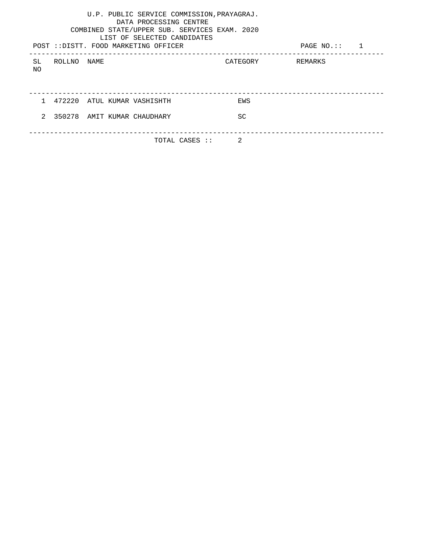|     |             | U.P. PUBLIC SERVICE COMMISSION, PRAYAGRAJ.<br>DATA PROCESSING CENTRE<br>COMBINED STATE/UPPER SUB. SERVICES EXAM. 2020<br>LIST OF SELECTED CANDIDATES<br>POST :: DISTT. FOOD MARKETING OFFICER |                  | PAGE $NO$ .:: 1 |  |
|-----|-------------|-----------------------------------------------------------------------------------------------------------------------------------------------------------------------------------------------|------------------|-----------------|--|
| SL. | ROLLNO NAME |                                                                                                                                                                                               | CATEGORY REMARKS |                 |  |
| NO. |             |                                                                                                                                                                                               |                  |                 |  |
|     |             |                                                                                                                                                                                               |                  |                 |  |
|     |             | 1 472220 ATUL KUMAR VASHISHTH                                                                                                                                                                 | EWS              |                 |  |
| 2   |             | 350278 AMIT KUMAR CHAUDHARY                                                                                                                                                                   | <b>SC</b>        |                 |  |
|     |             |                                                                                                                                                                                               |                  |                 |  |
|     |             | TOTAL CASES ::                                                                                                                                                                                | $\mathfrak{D}$   |                 |  |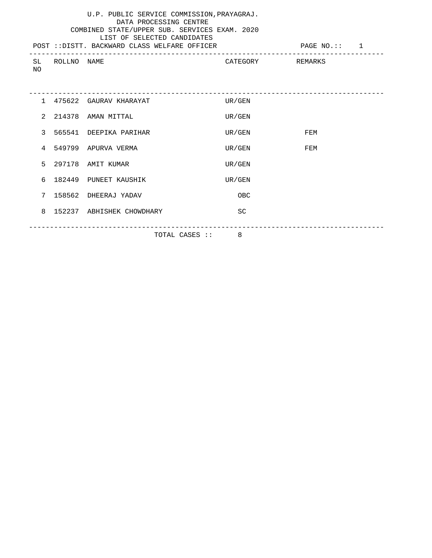| U.P. PUBLIC SERVICE COMMISSION, PRAYAGRAJ.<br>DATA PROCESSING CENTRE<br>COMBINED STATE/UPPER SUB. SERVICES EXAM. 2020<br>LIST OF SELECTED CANDIDATES<br>POST :: DISTT. BACKWARD CLASS WELFARE OFFICER<br>PAGE NO.:: 1 |                |                           |                  |     |  |  |
|-----------------------------------------------------------------------------------------------------------------------------------------------------------------------------------------------------------------------|----------------|---------------------------|------------------|-----|--|--|
| NO.                                                                                                                                                                                                                   | SL ROLLNO NAME |                           | CATEGORY REMARKS |     |  |  |
|                                                                                                                                                                                                                       |                |                           |                  |     |  |  |
|                                                                                                                                                                                                                       |                | 1 475622 GAURAV KHARAYAT  | UR/GEN           |     |  |  |
| $\mathcal{L}$                                                                                                                                                                                                         |                | 214378 AMAN MITTAL        | UR/GEN           |     |  |  |
| $\mathcal{E}$                                                                                                                                                                                                         |                | 565541 DEEPIKA PARIHAR    | UR/GEN           | FEM |  |  |
| 4                                                                                                                                                                                                                     |                | 549799 APURVA VERMA       | UR/GEN           | FEM |  |  |
| 5                                                                                                                                                                                                                     |                | 297178 AMIT KUMAR         | UR/GEN           |     |  |  |
| б.                                                                                                                                                                                                                    |                | 182449 PUNEET KAUSHIK     | UR/GEN           |     |  |  |
| 7                                                                                                                                                                                                                     |                | 158562 DHEERAJ YADAV      | OBC              |     |  |  |
| 8                                                                                                                                                                                                                     |                | 152237 ABHISHEK CHOWDHARY | <b>SC</b>        |     |  |  |
|                                                                                                                                                                                                                       |                | TOTAL CASES :: 8          |                  |     |  |  |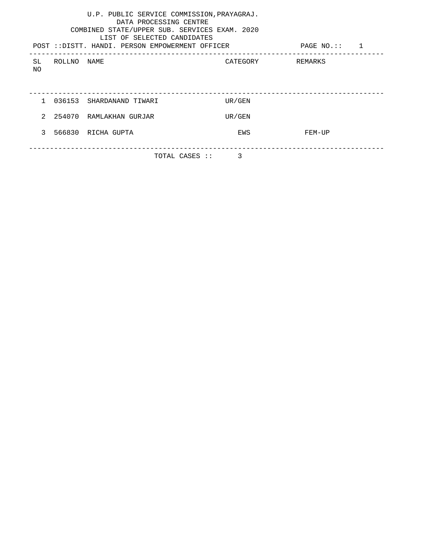| U.P. PUBLIC SERVICE COMMISSION, PRAYAGRAJ.<br>DATA PROCESSING CENTRE<br>COMBINED STATE/UPPER SUB. SERVICES EXAM. 2020<br>LIST OF SELECTED CANDIDATES<br>POST :: DISTT. HANDI. PERSON EMPOWERMENT OFFICER<br>PAGE NO.:: 1 |                                 |                            |                  |        |  |  |  |
|--------------------------------------------------------------------------------------------------------------------------------------------------------------------------------------------------------------------------|---------------------------------|----------------------------|------------------|--------|--|--|--|
| SL                                                                                                                                                                                                                       | ROLLNO NAME                     |                            | CATEGORY REMARKS |        |  |  |  |
| NO.                                                                                                                                                                                                                      |                                 |                            |                  |        |  |  |  |
|                                                                                                                                                                                                                          |                                 |                            |                  |        |  |  |  |
|                                                                                                                                                                                                                          |                                 | 1 036153 SHARDANAND TIWARI | UR/GEN           |        |  |  |  |
|                                                                                                                                                                                                                          |                                 | 2 254070 RAMLAKHAN GURJAR  | UR/GEN           |        |  |  |  |
| $\mathcal{L}$                                                                                                                                                                                                            |                                 | 566830 RICHA GUPTA         | EWS              | FEM-UP |  |  |  |
|                                                                                                                                                                                                                          |                                 |                            |                  |        |  |  |  |
|                                                                                                                                                                                                                          | $\mathcal{E}$<br>TOTAL CASES :: |                            |                  |        |  |  |  |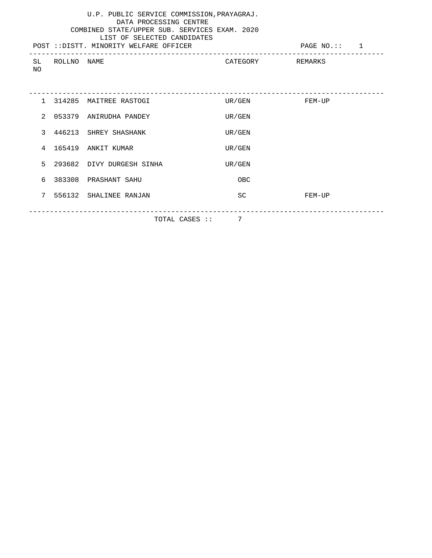|                 |                | U.P. PUBLIC SERVICE COMMISSION, PRAYAGRAJ.<br>DATA PROCESSING CENTRE<br>COMBINED STATE/UPPER SUB. SERVICES EXAM. 2020<br>LIST OF SELECTED CANDIDATES<br>POST :: DISTT, MINORITY WELFARE OFFICER |                  | PAGE NO.:: 1 |
|-----------------|----------------|-------------------------------------------------------------------------------------------------------------------------------------------------------------------------------------------------|------------------|--------------|
| NO.             | SL ROLLNO NAME |                                                                                                                                                                                                 | CATEGORY REMARKS |              |
|                 |                | 1 314285 MAITREE RASTOGI                                                                                                                                                                        | UR/GEN           | FEM-UP       |
| $2^{\circ}$     |                | 053379 ANIRUDHA PANDEY                                                                                                                                                                          | UR/GEN           |              |
|                 |                | 3 446213 SHREY SHASHANK                                                                                                                                                                         | UR/GEN           |              |
|                 |                | 4 165419 ANKIT KUMAR                                                                                                                                                                            | UR/GEN           |              |
| 5.              |                | 293682 DIVY DURGESH SINHA                                                                                                                                                                       | UR/GEN           |              |
|                 |                | 6 383308 PRASHANT SAHU                                                                                                                                                                          | OBC              |              |
| $7\overline{ }$ |                | 556132 SHALINEE RANJAN                                                                                                                                                                          | SC               | FEM-UP       |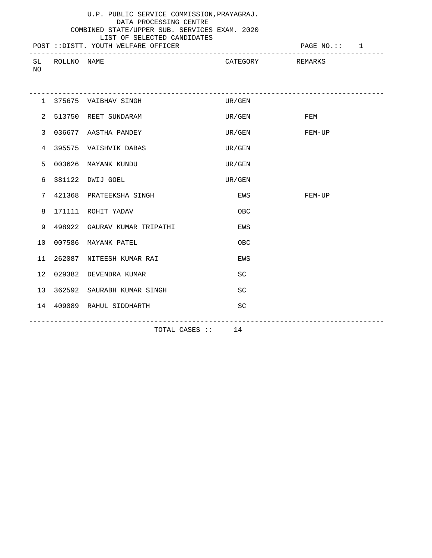|  | U.P. PUBLIC SERVICE COMMISSION, PRAYAGRAJ.    |  |
|--|-----------------------------------------------|--|
|  | DATA PROCESSING CENTRE                        |  |
|  | COMBINED STATE/UPPER SUB. SERVICES EXAM. 2020 |  |

|    |             | LIST OF SELECTED CANDIDATES         |          |              |  |
|----|-------------|-------------------------------------|----------|--------------|--|
|    |             | POST ::DISTT. YOUTH WELFARE OFFICER |          | PAGE NO.:: 1 |  |
|    |             |                                     |          |              |  |
| SL | ROLLNO NAME |                                     | CATEGORY | REMARKS      |  |

NO

|                |                   | 1 375675 VAIBHAV SINGH        | UR/GEN    |               |  |  |
|----------------|-------------------|-------------------------------|-----------|---------------|--|--|
| $\overline{2}$ |                   | 513750 REET SUNDARAM          | UR/GEN    | FEM           |  |  |
| $\mathbf{3}$   |                   | 036677 AASTHA PANDEY          |           | UR/GEN FEM-UP |  |  |
| 4              |                   | 395575 VAISHVIK DABAS         | UR/GEN    |               |  |  |
| 5              |                   | 003626 MAYANK KUNDU           | UR/GEN    |               |  |  |
| 6              |                   | 381122 DWIJ GOEL              | UR/GEN    |               |  |  |
| 7              |                   | 421368 PRATEEKSHA SINGH       | EWS       | FEM-UP        |  |  |
| 8              |                   | 171111 ROHIT YADAV            | OBC       |               |  |  |
| 9              |                   | 498922 GAURAV KUMAR TRIPATHI  | EWS       |               |  |  |
|                |                   | 10 007586 MAYANK PATEL        | OBC       |               |  |  |
| 11             |                   | 262087 NITEESH KUMAR RAI      | EWS       |               |  |  |
| 12             |                   | 029382 DEVENDRA KUMAR         | <b>SC</b> |               |  |  |
|                |                   | 13 362592 SAURABH KUMAR SINGH | <b>SC</b> |               |  |  |
|                |                   | 14 409089 RAHUL SIDDHARTH     | SC        |               |  |  |
|                |                   |                               |           |               |  |  |
|                | TOTAL CASES :: 14 |                               |           |               |  |  |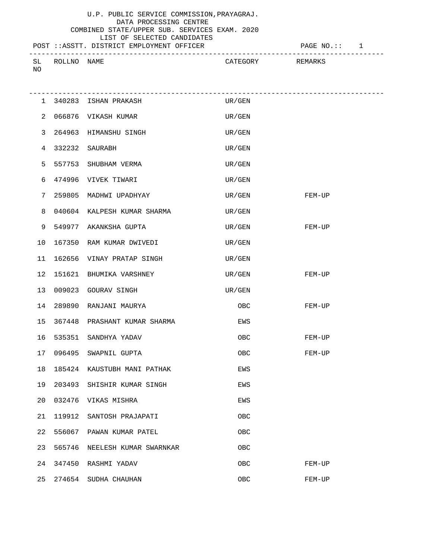# U.P. PUBLIC SERVICE COMMISSION,PRAYAGRAJ. DATA PROCESSING CENTRE

#### COMBINED STATE/UPPER SUB. SERVICES EXAM. 2020 LIST OF SELECTED CANDIDATES

POST ::ASSTT. DISTRICT EMPLOYMENT OFFICER PAGE NO.:: 1

|              |        |             |                                           | ___     |
|--------------|--------|-------------|-------------------------------------------|---------|
|              |        |             |                                           |         |
| $C$ T<br>ىلە | ROLLNC | <b>NAME</b> | $\mathcal{L}_{\mathcal{L}}$<br>\ TP COD J | PFMARK. |
|              |        |             |                                           |         |
| NO           |        |             |                                           |         |
|              |        |             |                                           |         |

|              |        | 1 340283 ISHAN PRAKASH          | UR/GEN |        |
|--------------|--------|---------------------------------|--------|--------|
|              |        | 2 066876 VIKASH KUMAR           | UR/GEN |        |
| $\mathbf{3}$ |        | 264963 HIMANSHU SINGH           | UR/GEN |        |
| 4            |        | 332232 SAURABH                  | UR/GEN |        |
| 5            |        | 557753 SHUBHAM VERMA            | UR/GEN |        |
| 6            |        | 474996 VIVEK TIWARI             | UR/GEN |        |
| 7            |        | 259805 MADHWI UPADHYAY          | UR/GEN | FEM-UP |
| 8            |        | 040604 KALPESH KUMAR SHARMA     | UR/GEN |        |
| 9            |        | 549977 AKANKSHA GUPTA           | UR/GEN | FEM-UP |
| 10           |        | 167350 RAM KUMAR DWIVEDI        | UR/GEN |        |
|              |        | 11 162656 VINAY PRATAP SINGH    | UR/GEN |        |
|              |        | 12 151621 BHUMIKA VARSHNEY      | UR/GEN | FEM-UP |
|              |        | 13 009023 GOURAV SINGH          | UR/GEN |        |
|              |        | 14 289890 RANJANI MAURYA        | OBC    | FEM-UP |
|              |        | 15 367448 PRASHANT KUMAR SHARMA | EWS    |        |
|              |        | 16 535351 SANDHYA YADAV         | OBC.   | FEM-UP |
|              |        | 17 096495 SWAPNIL GUPTA         | OBC.   | FEM-UP |
| 18           |        | 185424 KAUSTUBH MANI PATHAK     | EWS    |        |
|              |        | 19 203493 SHISHIR KUMAR SINGH   | EWS    |        |
|              |        | 20 032476 VIKAS MISHRA          | EWS    |        |
| 21           | 119912 | SANTOSH PRAJAPATI               | OBC    |        |
| 22           | 556067 | PAWAN KUMAR PATEL               | OBC    |        |
| 23           | 565746 | NEELESH KUMAR SWARNKAR          | OBC    |        |
| 24           | 347450 | RASHMI YADAV                    | OBC    | FEM-UP |
| 25           | 274654 | SUDHA CHAUHAN                   | OBC    | FEM-UP |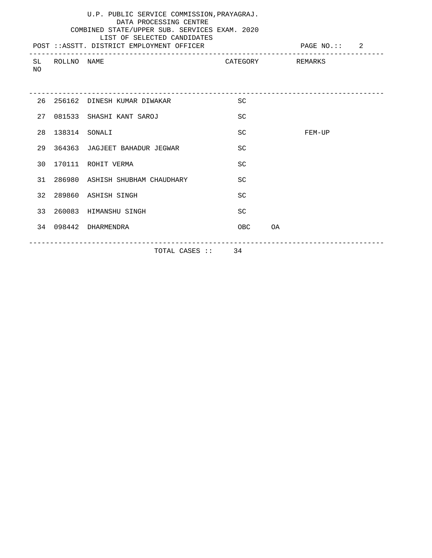### LIST OF SELECTED CANDIDATES POST ::ASSTT. DISTRICT EMPLOYMENT OFFICER PAGE NO.:: 2 ------------------------------------------------------------------------------------- CATEGORY REMARKS NO

|    | 26 256162     | DINESH KUMAR DIWAKAR               | SC              |    |        |
|----|---------------|------------------------------------|-----------------|----|--------|
| 27 |               | 081533 SHASHI KANT SAROJ           | <b>SC</b>       |    |        |
| 28 | 138314 SONALI |                                    | <b>SC</b>       |    | FEM-UP |
|    |               | 29 364363 JAGJEET BAHADUR JEGWAR   | <b>SC</b>       |    |        |
| 30 |               | 170111 ROHIT VERMA                 | <b>SC</b>       |    |        |
|    |               | 31 286980 ASHISH SHUBHAM CHAUDHARY | <b>SC</b>       |    |        |
|    |               | 32 289860 ASHISH SINGH             | <b>SC</b>       |    |        |
|    |               | 33 260083 HIMANSHU SINGH           | SC              |    |        |
|    |               | 34 098442 DHARMENDRA               | 0 <sub>BC</sub> | OA |        |
|    |               |                                    |                 |    |        |
|    |               | TOTAL CASES ::                     | 34              |    |        |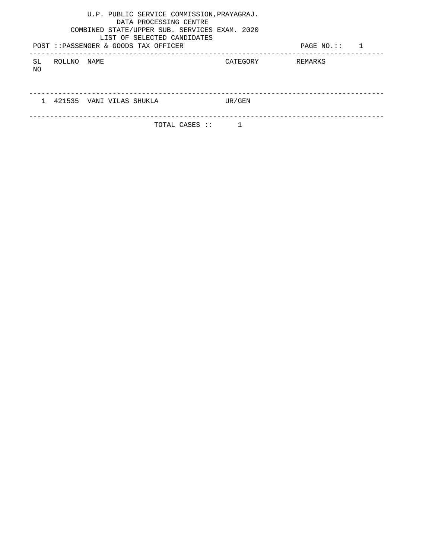|           |             | U.P. PUBLIC SERVICE COMMISSION, PRAYAGRAJ.<br>DATA PROCESSING CENTRE<br>COMBINED STATE/UPPER SUB. SERVICES EXAM. 2020<br>LIST OF SELECTED CANDIDATES<br>POST ::PASSENGER & GOODS TAX OFFICER |          | $PAGE NO.$ ::<br>1 |
|-----------|-------------|----------------------------------------------------------------------------------------------------------------------------------------------------------------------------------------------|----------|--------------------|
| SL.<br>NO | ROLLNO NAME |                                                                                                                                                                                              | CATEGORY | REMARKS            |
|           |             |                                                                                                                                                                                              |          |                    |
|           |             | 421535 VANI VILAS SHUKLA                                                                                                                                                                     | UR/GEN   |                    |
|           |             | TOTAL CASES ::                                                                                                                                                                               |          |                    |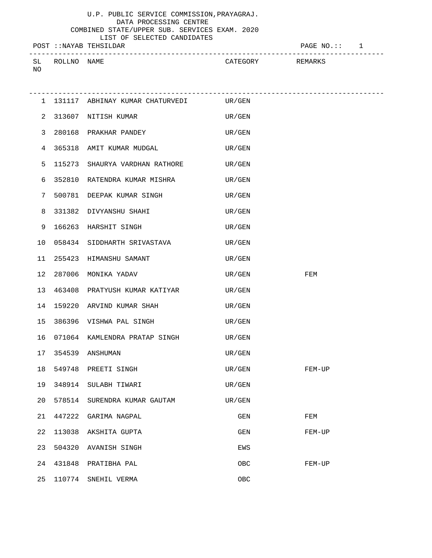LIST OF SELECTED CANDIDATES POST :: NAYAB TEHSILDAR POST :: 1 -------------------------------------------------------------------------------------

| $\Gamma$<br>◡ | ROLLNO | <b>NAME</b> | CATEGORY | REMARKS |
|---------------|--------|-------------|----------|---------|
| ΝO<br>__      |        |             |          |         |

|    |        | 1 131117 ABHINAY KUMAR CHATURVEDI UR/GEN   |        |        |
|----|--------|--------------------------------------------|--------|--------|
|    |        | 2 313607 NITISH KUMAR                      | UR/GEN |        |
|    |        | 3 280168 PRAKHAR PANDEY                    | UR/GEN |        |
| 4  |        | 365318 AMIT KUMAR MUDGAL                   | UR/GEN |        |
| 5  |        | 115273 SHAURYA VARDHAN RATHORE             | UR/GEN |        |
| 6  |        | 352810 RATENDRA KUMAR MISHRA UR/GEN        |        |        |
| 7  |        | 500781 DEEPAK KUMAR SINGH                  | UR/GEN |        |
| 8  |        | 331382 DIVYANSHU SHAHI                     | UR/GEN |        |
| 9  |        | 166263 HARSHIT SINGH                       | UR/GEN |        |
|    |        | 10 058434 SIDDHARTH SRIVASTAVA             | UR/GEN |        |
|    |        | 11 255423 HIMANSHU SAMANT                  | UR/GEN |        |
|    |        | 12 287006 MONIKA YADAV                     | UR/GEN | FEM    |
|    |        | 13 463408 PRATYUSH KUMAR KATIYAR<br>UR/GEN |        |        |
|    |        | 14 159220 ARVIND KUMAR SHAH                | UR/GEN |        |
|    |        | 15 386396 VISHWA PAL SINGH                 | UR/GEN |        |
|    |        | 16 071064 KAMLENDRA PRATAP SINGH<br>UR/GEN |        |        |
|    |        | 17 354539 ANSHUMAN                         | UR/GEN |        |
|    |        | 18 549748 PREETI SINGH                     | UR/GEN | FEM-UP |
|    |        | 19 348914 SULABH TIWARI                    | UR/GEN |        |
|    |        | 20 578514 SURENDRA KUMAR GAUTAM<br>UR/GEN  |        |        |
| 21 | 447222 | GARIMA NAGPAL                              | GEN    | FEM    |
| 22 | 113038 | AKSHITA GUPTA                              | GEN    | FEM-UP |
| 23 | 504320 | AVANISH SINGH                              | EWS    |        |
| 24 | 431848 | PRATIBHA PAL                               | OBC    | FEM-UP |
| 25 | 110774 | SNEHIL VERMA                               | OBC    |        |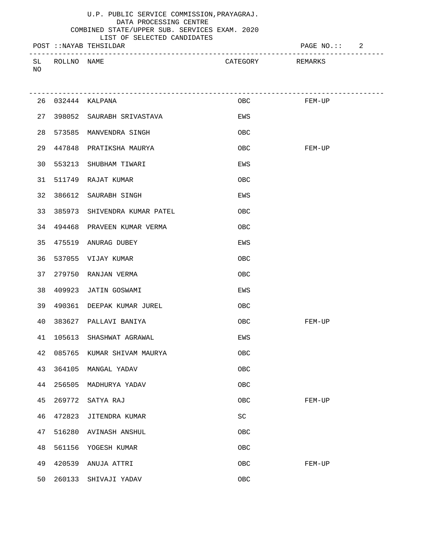LIST OF SELECTED CANDIDATES

| POST :: NAYAB TEHSILDAR |      |          | PAGE NO. :: | $\overline{a}$ |
|-------------------------|------|----------|-------------|----------------|
| SL<br>ROLLNO<br>NO      | NAME | CATEGORY | REMARKS     |                |

|    |        | 26 032444 KALPANA             | OBC<br>$FEM-UP$     |        |
|----|--------|-------------------------------|---------------------|--------|
|    |        | 27 398052 SAURABH SRIVASTAVA  | EWS                 |        |
|    |        | 28 573585 MANVENDRA SINGH     | OBC                 |        |
|    |        | 29 447848 PRATIKSHA MAURYA    | 0BC                 | FEM-UP |
|    |        | 30 553213 SHUBHAM TIWARI      | EWS                 |        |
|    |        | 31 511749 RAJAT KUMAR         | OBC                 |        |
|    |        | 32 386612 SAURABH SINGH       | EWS                 |        |
| 33 |        | 385973 SHIVENDRA KUMAR PATEL  | OBC                 |        |
|    |        | 34 494468 PRAVEEN KUMAR VERMA | OBC                 |        |
|    |        | 35 475519 ANURAG DUBEY        | EWS                 |        |
|    |        | 36 537055 VIJAY KUMAR         | OBC                 |        |
|    |        | 37 279750 RANJAN VERMA        | OBC                 |        |
|    |        | 38 409923 JATIN GOSWAMI       | EWS                 |        |
| 39 |        | 490361 DEEPAK KUMAR JUREL     | OBC                 |        |
| 40 |        | 383627 PALLAVI BANIYA         | OBC                 | FEM-UP |
| 41 |        | 105613 SHASHWAT AGRAWAL       | EWS                 |        |
|    |        | 42 085765 KUMAR SHIVAM MAURYA | OBC                 |        |
|    |        | 43 364105 MANGAL YADAV        | OBC                 |        |
|    |        | 44 256505 MADHURYA YADAV      | OBC                 |        |
|    |        | 45 269772 SATYA RAJ           | OBC                 | FEM-UP |
| 46 | 472823 | JITENDRA KUMAR                | $\operatorname{SC}$ |        |
| 47 | 516280 | <b>AVINASH ANSHUL</b>         | OBC                 |        |
| 48 | 561156 | YOGESH KUMAR                  | OBC                 |        |
| 49 | 420539 | ANUJA ATTRI                   | OBC                 | FEM-UP |
| 50 | 260133 | SHIVAJI YADAV                 | OBC                 |        |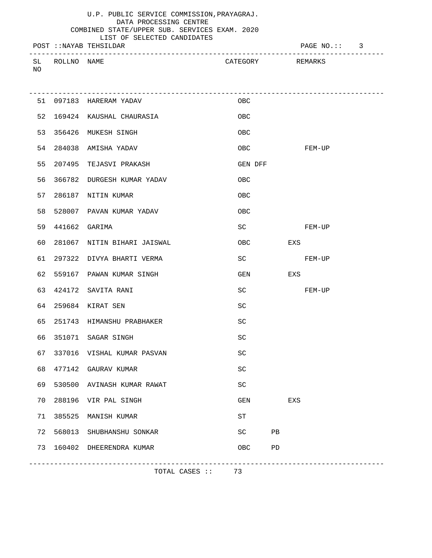|    |             |                        | LIST OF SELECTED CANDIDATES |          |              |  |
|----|-------------|------------------------|-----------------------------|----------|--------------|--|
|    |             | POST ::NAYAB TEHSILDAR |                             |          | PAGE NO.:: 3 |  |
|    |             |                        |                             |          |              |  |
| SL | ROLLNO NAME |                        |                             | CATEGORY | REMARKS      |  |

NO

|    |                    | 51 097183 HARERAM YADAV       | 0BC                         |            |     |        |
|----|--------------------|-------------------------------|-----------------------------|------------|-----|--------|
|    |                    | 52 169424 KAUSHAL CHAURASIA   | OBC                         |            |     |        |
|    |                    | 53 356426 MUKESH SINGH        | OBC                         |            |     |        |
|    |                    | 54 284038 AMISHA YADAV        |                             | OBC FEM-UP |     |        |
|    |                    | 55 207495 TEJASVI PRAKASH     | GEN DFF                     |            |     |        |
| 56 |                    | 366782 DURGESH KUMAR YADAV    | OBC                         |            |     |        |
| 57 |                    | 286187 NITIN KUMAR            | OBC                         |            |     |        |
|    |                    | 58 528007 PAVAN KUMAR YADAV   | OBC                         |            |     |        |
|    | 59  441662  GARIMA |                               | SC                          |            |     | FEM-UP |
| 60 |                    | 281067 NITIN BIHARI JAISWAL   | OBC                         |            | EXS |        |
|    |                    | 61 297322 DIVYA BHARTI VERMA  | SC                          |            |     | FEM-UP |
|    |                    | 62 559167 PAWAN KUMAR SINGH   |                             | <b>GEN</b> | EXS |        |
|    |                    | 63 424172 SAVITA RANI         | SC                          |            |     | FEM-UP |
|    |                    | 64 259684 KIRAT SEN           | SC                          |            |     |        |
|    |                    | 65 251743 HIMANSHU PRABHAKER  | SC                          |            |     |        |
|    |                    | 66 351071 SAGAR SINGH         | <b>SC</b>                   |            |     |        |
|    |                    | 67 337016 VISHAL KUMAR PASVAN | SC                          |            |     |        |
|    |                    | 68 477142 GAURAV KUMAR        | SC                          |            |     |        |
|    |                    | 69 530500 AVINASH KUMAR RAWAT | SC                          |            |     |        |
|    |                    | 70 288196 VIR PAL SINGH       | $\mathop{\rm GEN}\nolimits$ |            | EXS |        |
| 71 | 385525             | MANISH KUMAR                  | $\operatorname{ST}$         |            |     |        |
| 72 | 568013             | SHUBHANSHU SONKAR             | $\operatorname{SC}$         | PB         |     |        |
| 73 |                    | 160402 DHEERENDRA KUMAR       | OBC                         | PD         |     |        |
|    |                    |                               |                             |            |     |        |

TOTAL CASES :: 73

-------------------------------------------------------------------------------------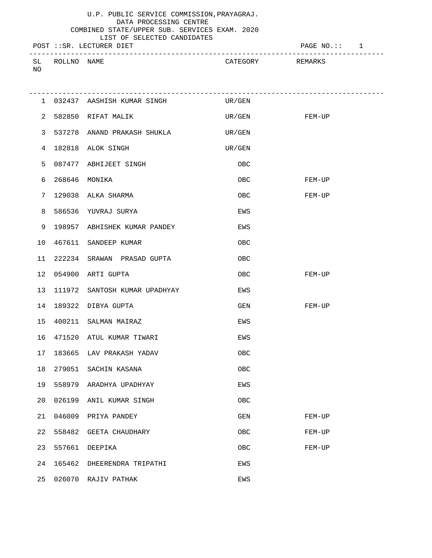LIST OF SELECTED CANDIDATES POST ::SR. LECTURER DIET PAGE NO.:: 1 ------------------------------------------------------------------------------------- SL ROLLNO NAME SUN CATEGORY REMARKS NO

| $\overline{2}$  |        | 582850 RIFAT MALIK            | UR/GEN FEM-UP |        |
|-----------------|--------|-------------------------------|---------------|--------|
| 3               |        | 537278 ANAND PRAKASH SHUKLA   | UR/GEN        |        |
| 4               |        | 182818 ALOK SINGH             | UR/GEN        |        |
| 5               |        | 087477 ABHIJEET SINGH         | 0BC           |        |
| 6               |        | 268646 MONIKA                 | OBC.          | FEM-UP |
| 7               |        | 129038 ALKA SHARMA            | 0BC           | FEM-UP |
| 8               |        | 586536 YUVRAJ SURYA           | EWS           |        |
| 9               |        | 198957 ABHISHEK KUMAR PANDEY  | EWS           |        |
| 10              |        | 467611 SANDEEP KUMAR          | OBC           |        |
| 11              |        | 222234 SRAWAN PRASAD GUPTA    | OBC           |        |
|                 |        | 12 054900 ARTI GUPTA          | OBC           | FEM-UP |
| 13 <sup>7</sup> |        | 111972 SANTOSH KUMAR UPADHYAY | EWS           |        |
| 14              |        | 189322 DIBYA GUPTA            | GEN           | FEM-UP |
|                 |        | 15 400211 SALMAN MAIRAZ       | EWS           |        |
|                 |        | 16 471520 ATUL KUMAR TIWARI   | EWS           |        |
| 17              |        | 183665 LAV PRAKASH YADAV      | OBC           |        |
| 18              |        | 279051 SACHIN KASANA          | OBC           |        |
| 19              |        | 558979 ARADHYA UPADHYAY       | EWS           |        |
|                 |        | 20 026199 ANIL KUMAR SINGH    | OBC           |        |
| 21              | 046009 | PRIYA PANDEY                  | GEN           | FEM-UP |
| 22              | 558482 | GEETA CHAUDHARY               | OBC           | FEM-UP |
| 23              | 557661 | DEEPIKA                       | OBC           | FEM-UP |
| 24              | 165462 | DHEERENDRA TRIPATHI           | EWS           |        |
| 25              | 026070 | RAJIV PATHAK                  | EWS           |        |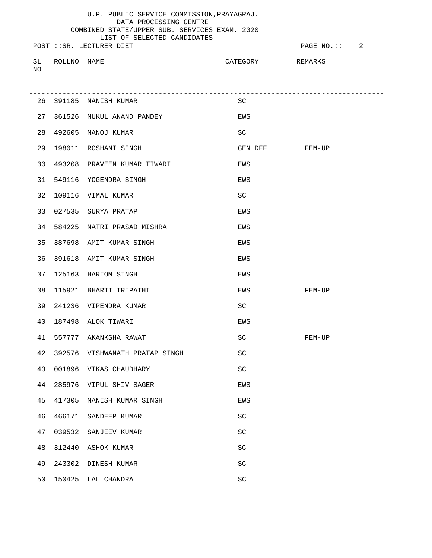|    |             |                          | LIST OF SELECTED CANDIDATES |          |                 |  |
|----|-------------|--------------------------|-----------------------------|----------|-----------------|--|
|    |             | POST ::SR. LECTURER DIET |                             |          | PAGE $NO$ .:: 2 |  |
|    |             |                          |                             |          |                 |  |
| SL | ROLLNO NAME |                          |                             | CATEGORY | REMARKS         |  |

NO

|    |        | -------------------------      |                     |        |
|----|--------|--------------------------------|---------------------|--------|
|    |        | 26 391185 MANISH KUMAR         | SC                  |        |
|    |        | 27 361526 MUKUL ANAND PANDEY   | EWS                 |        |
| 28 |        | 492605 MANOJ KUMAR             | SC                  |        |
| 29 |        | 198011 ROSHANI SINGH           | GEN DFF FEM-UP      |        |
|    |        | 30 493208 PRAVEEN KUMAR TIWARI | EWS                 |        |
|    |        | 31 549116 YOGENDRA SINGH       | EWS                 |        |
| 32 |        | 109116 VIMAL KUMAR             | SC                  |        |
|    |        | 33 027535 SURYA PRATAP         | EWS                 |        |
|    |        | 34 584225 MATRI PRASAD MISHRA  | EWS                 |        |
| 35 |        | 387698 AMIT KUMAR SINGH        | EWS                 |        |
| 36 |        | 391618 AMIT KUMAR SINGH        | EWS                 |        |
| 37 |        | 125163 HARIOM SINGH            | EWS                 |        |
| 38 |        | 115921 BHARTI TRIPATHI         | EWS                 | FEM-UP |
| 39 |        | 241236 VIPENDRA KUMAR          | SC                  |        |
| 40 |        | 187498 ALOK TIWARI             | EWS                 |        |
| 41 |        | 557777 AKANKSHA RAWAT          | SC                  | FEM-UP |
| 42 |        | 392576 VISHWANATH PRATAP SINGH | SC                  |        |
| 43 |        | 001896 VIKAS CHAUDHARY         | SC                  |        |
| 44 |        | 285976 VIPUL SHIV SAGER        | EWS                 |        |
| 45 |        | 417305 MANISH KUMAR SINGH      | EWS                 |        |
| 46 | 466171 | SANDEEP KUMAR                  | $\operatorname{SC}$ |        |
| 47 | 039532 | SANJEEV KUMAR                  | $\operatorname{SC}$ |        |
| 48 | 312440 | ASHOK KUMAR                    | $\operatorname{SC}$ |        |
| 49 | 243302 | DINESH KUMAR                   | <b>SC</b>           |        |
| 50 | 150425 | LAL CHANDRA                    | $\operatorname{SC}$ |        |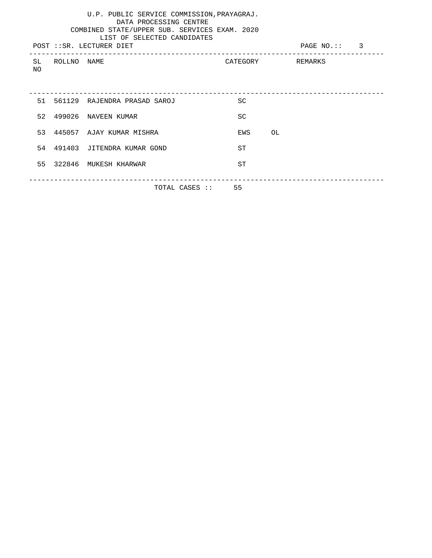|     | U.P. PUBLIC SERVICE COMMISSION, PRAYAGRAJ.<br>DATA PROCESSING CENTRE<br>COMBINED STATE/UPPER SUB. SERVICES EXAM. 2020<br>LIST OF SELECTED CANDIDATES<br>PAGE NO.:: 3<br>POST :: SR. LECTURER DIET |                                 |                  |       |  |  |  |  |
|-----|---------------------------------------------------------------------------------------------------------------------------------------------------------------------------------------------------|---------------------------------|------------------|-------|--|--|--|--|
| NO. | SL ROLLNO NAME                                                                                                                                                                                    |                                 | CATEGORY REMARKS |       |  |  |  |  |
|     |                                                                                                                                                                                                   | 51 561129 RAJENDRA PRASAD SAROJ | <b>SC</b>        |       |  |  |  |  |
|     |                                                                                                                                                                                                   | 52 499026 NAVEEN KUMAR          | SC               |       |  |  |  |  |
|     |                                                                                                                                                                                                   | 53 445057 AJAY KUMAR MISHRA     | EWS              | OL OL |  |  |  |  |
|     |                                                                                                                                                                                                   | 54 491403 JITENDRA KUMAR GOND   | ST               |       |  |  |  |  |
|     |                                                                                                                                                                                                   | 55 322846 MUKESH KHARWAR        | ST               |       |  |  |  |  |
|     |                                                                                                                                                                                                   | TOTAL CASES :: 55               |                  |       |  |  |  |  |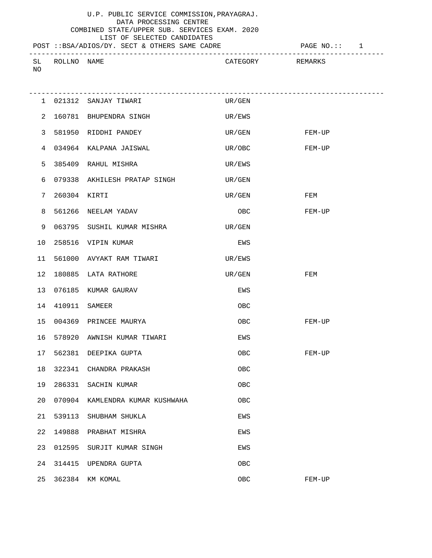# LIST OF SELECTED CANDIDATES

NO

POST ::BSA/ADIOS/DY. SECT & OTHERS SAME CADRE  $P$  PAGE NO.:: 1 ------------------------------------------------------------------------------------- SL ROLLNO NAME **SL ROLLNO** SAME CATEGORY REMARKS

|    |                    | 1 021312 SANJAY TIWARI          | UR/GEN        |        |
|----|--------------------|---------------------------------|---------------|--------|
| 2  |                    | 160781 BHUPENDRA SINGH          | UR/EWS        |        |
| 3  |                    | 581950 RIDDHI PANDEY            | UR/GEN FEM-UP |        |
| 4  |                    | 034964 KALPANA JAISWAL          | UR/OBC        | FEM-UP |
| 5  |                    | 385409 RAHUL MISHRA             | UR/EWS        |        |
| 6  |                    | 079338 AKHILESH PRATAP SINGH    | UR/GEN        |        |
| 7  | 260304 KIRTI       |                                 | UR/GEN        | FEM    |
| 8  |                    | 561266 NEELAM YADAV             | OBC           | FEM-UP |
| 9  |                    | 063795 SUSHIL KUMAR MISHRA      | UR/GEN        |        |
| 10 |                    | 258516 VIPIN KUMAR              | EWS           |        |
|    |                    | 11 561000 AVYAKT RAM TIWARI     | UR/EWS        |        |
| 12 |                    | 180885 LATA RATHORE             | UR/GEN        | FEM    |
| 13 |                    | 076185 KUMAR GAURAV             | EWS           |        |
|    | 14  410911  SAMEER |                                 | OBC           |        |
|    |                    | 15 004369 PRINCEE MAURYA        | OBC           | FEM-UP |
| 16 |                    | 578920 AWNISH KUMAR TIWARI      | EWS           |        |
|    |                    | 17 562381 DEEPIKA GUPTA         | OBC           | FEM-UP |
|    |                    | 18 322341 CHANDRA PRAKASH       | OBC           |        |
|    |                    | 19 286331 SACHIN KUMAR          | OBC           |        |
| 20 |                    | 070904 KAMLENDRA KUMAR KUSHWAHA | OBC           |        |
| 21 | 539113             | SHUBHAM SHUKLA                  | EWS           |        |
| 22 | 149888             | PRABHAT MISHRA                  | EWS           |        |
| 23 | 012595             | SURJIT KUMAR SINGH              | EWS           |        |
| 24 | 314415             | UPENDRA GUPTA                   | OBC           |        |
| 25 |                    | 362384 KM KOMAL                 | OBC           | FEM-UP |
|    |                    |                                 |               |        |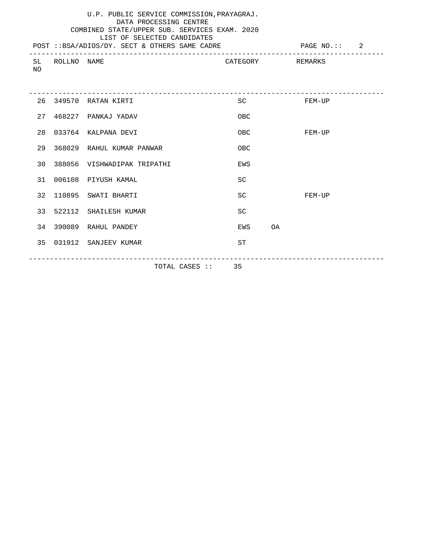### U.P. PUBLIC SERVICE COMMISSION,PRAYAGRAJ. DATA PROCESSING CENTRE COMBINED STATE/UPPER SUB. SERVICES EXAM. 2020 LIST OF SELECTED CANDIDATES

| NΟ | SL ROLLNO NAME |                                |            | CATEGORY REMARKS |
|----|----------------|--------------------------------|------------|------------------|
|    |                | 26 349570 RATAN KIRTI          | SC         | FEM-UP           |
|    |                | 27 468227 PANKAJ YADAV         | OBC        |                  |
|    |                | 28 033764 KALPANA DEVI         | OBC        | FEM-UP           |
|    |                | 29 368029 RAHUL KUMAR PANWAR   | <b>OBC</b> |                  |
|    |                | 30 388056 VISHWADIPAK TRIPATHI | EWS        |                  |
|    |                | 31 006108 PIYUSH KAMAL         | <b>SC</b>  |                  |
|    |                | 32 110895 SWATI BHARTI         | SC         | FEM-UP           |
|    |                | 33 522112 SHAILESH KUMAR       | <b>SC</b>  |                  |
|    |                | 34 390089 RAHUL PANDEY         | EWS        | <b>OA</b>        |
|    |                | 35 031912 SANJEEV KUMAR        | <b>ST</b>  |                  |
|    |                |                                |            |                  |

TOTAL CASES :: 35

-------------------------------------------------------------------------------------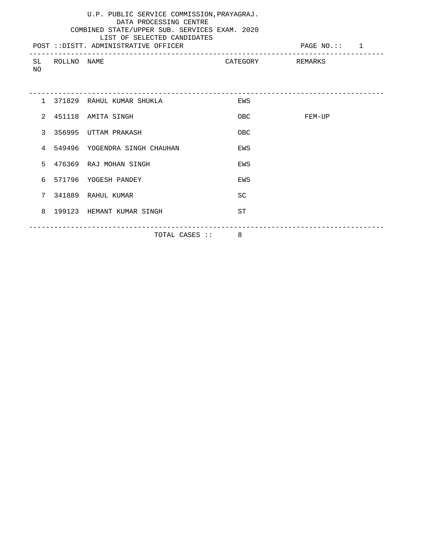|     |                | U.P. PUBLIC SERVICE COMMISSION, PRAYAGRAJ.<br>DATA PROCESSING CENTRE<br>COMBINED STATE/UPPER SUB. SERVICES EXAM. 2020<br>LIST OF SELECTED CANDIDATES<br>POST :: DISTT. ADMINISTRATIVE OFFICER |                  | PAGE NO.:: 1 |
|-----|----------------|-----------------------------------------------------------------------------------------------------------------------------------------------------------------------------------------------|------------------|--------------|
| NO. | SL ROLLNO NAME |                                                                                                                                                                                               | CATEGORY REMARKS |              |
|     |                |                                                                                                                                                                                               |                  |              |
|     |                | 1 371829 RAHUL KUMAR SHUKLA                                                                                                                                                                   | EWS              |              |
|     |                | 2 451118 AMITA SINGH                                                                                                                                                                          | OBC              | FEM-UP       |
|     |                | 3 356995 UTTAM PRAKASH                                                                                                                                                                        | OBC              |              |
|     |                | 4 549496 YOGENDRA SINGH CHAUHAN                                                                                                                                                               | EWS              |              |
|     |                | 5 476369 RAJ MOHAN SINGH                                                                                                                                                                      | EWS              |              |
|     |                | 6 571796 YOGESH PANDEY                                                                                                                                                                        | EWS              |              |
|     |                | 7 341889 RAHUL KUMAR                                                                                                                                                                          | <b>SC</b>        |              |
|     |                | 8 199123 HEMANT KUMAR SINGH                                                                                                                                                                   | <b>ST</b>        |              |
|     |                | TOTAL CASES :: 8                                                                                                                                                                              |                  |              |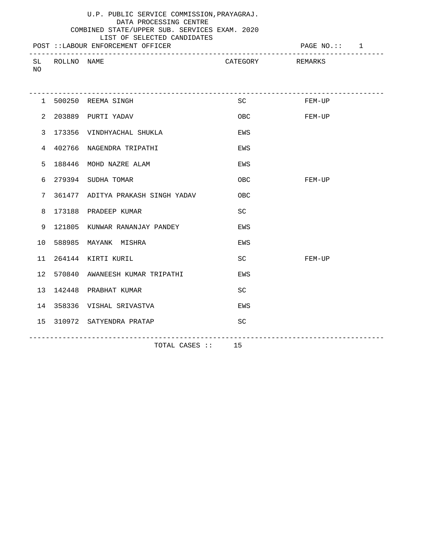### U.P. PUBLIC SERVICE COMMISSION,PRAYAGRAJ. DATA PROCESSING CENTRE COMBINED STATE/UPPER SUB. SERVICES EXAM. 2020 LIST OF SELECTED CANDIDATES

|                   |                | POST :: LABOUR ENFORCEMENT OFFICER |                  | PAGE NO.: 1 |
|-------------------|----------------|------------------------------------|------------------|-------------|
| NO.               | SL ROLLNO NAME |                                    | CATEGORY REMARKS |             |
|                   |                | 1 500250 REEMA SINGH               |                  | SC FEM-UP   |
| 2                 |                | 203889 PURTI YADAV                 | OBC              | FEM-UP      |
| 3                 |                | 173356 VINDHYACHAL SHUKLA          | EWS              |             |
| 4                 |                | 402766 NAGENDRA TRIPATHI           | EWS              |             |
| 5                 |                | 188446 MOHD NAZRE ALAM             | EWS              |             |
| 6                 |                | 279394 SUDHA TOMAR                 | <b>OBC</b>       | FEM-UP      |
| 7                 |                | 361477 ADITYA PRAKASH SINGH YADAV  | OBC              |             |
| 8                 |                | 173188 PRADEEP KUMAR               | <b>SC</b>        |             |
| 9                 |                | 121805 KUNWAR RANANJAY PANDEY      | EWS              |             |
| 10                |                | 588985 MAYANK MISHRA               | EWS              |             |
| 11                |                | 264144 KIRTI KURIL                 | SC               | FEM-UP      |
| $12 \overline{ }$ |                | 570840 AWANEESH KUMAR TRIPATHI     | EWS              |             |
| 13                |                | 142448 PRABHAT KUMAR               | <b>SC</b>        |             |
| 14                |                | 358336 VISHAL SRIVASTVA            | EWS              |             |
| 15                |                | 310972 SATYENDRA PRATAP            | <b>SC</b>        |             |
|                   |                |                                    |                  |             |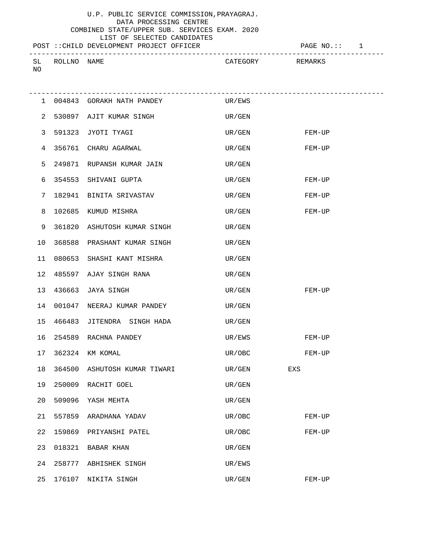# LIST OF SELECTED CANDIDATES

POST ::CHILD DEVELOPMENT PROJECT OFFICER FOR THE PAGE NO.:: 1

|              |        |             |                                           | ___     |
|--------------|--------|-------------|-------------------------------------------|---------|
|              |        |             |                                           |         |
| $C$ T<br>ىلە | ROLLNC | <b>NAME</b> | $\mathcal{L}_{\mathcal{L}}$<br>\ TP COD J | PFMARK. |
|              |        |             |                                           |         |
| NO           |        |             |                                           |         |
|              |        |             |                                           |         |

|                |        | 1 004843 GORAKH NATH PANDEY UR/EWS |                    |          |
|----------------|--------|------------------------------------|--------------------|----------|
| $\overline{2}$ |        | 530897 AJIT KUMAR SINGH            | UR/GEN             |          |
| 3              |        | 591323 JYOTI TYAGI                 | UR/GEN FEM-UP      |          |
| 4              |        | 356761 CHARU AGARWAL               | UR/GEN FEM-UP      |          |
| 5              |        | 249871 RUPANSH KUMAR JAIN          | UR/GEN             |          |
| 6              |        | 354553 SHIVANI GUPTA               | UR/GEN             | FEM-UP   |
| 7              |        | 182941 BINITA SRIVASTAV            | UR/GEN             | FEM-UP   |
| 8              |        | 102685 KUMUD MISHRA                | UR/GEN             | FEM-UP   |
| 9              |        | 361820 ASHUTOSH KUMAR SINGH        | UR/GEN             |          |
| $10$           |        | 368588 PRASHANT KUMAR SINGH        | UR/GEN             |          |
| 11             |        | 080653 SHASHI KANT MISHRA          | UR/GEN             |          |
|                |        | 12 485597 AJAY SINGH RANA          | UR/GEN             |          |
|                |        | 13 436663 JAYA SINGH               | UR/GEN             | FEM-UP   |
| 14             |        | 001047 NEERAJ KUMAR PANDEY         | UR/GEN             |          |
|                |        | 15 466483 JITENDRA SINGH HADA      | UR/GEN             |          |
|                |        | 16 254589 RACHNA PANDEY            | UR/EWS             | $FEM-UP$ |
| 17             |        | 362324 KM KOMAL                    | UR/OBC             | FEM-UP   |
| 18             |        | 364500 ASHUTOSH KUMAR TIWARI       | $\,$ UR / GEN $\,$ | EXS      |
| 19             |        | 250009 RACHIT GOEL                 | UR/GEN             |          |
| 20             |        | 509096 YASH MEHTA                  | UR/GEN             |          |
| 21             | 557859 | ARADHANA YADAV                     | UR/OBC             | FEM-UP   |
| 22             | 159869 | PRIYANSHI PATEL                    | UR/OBC             | $FEM-UP$ |
| 23             | 018321 | BABAR KHAN                         | UR/GEN             |          |
| 24             | 258777 | ABHISHEK SINGH                     | UR/EWS             |          |
| 25             | 176107 | NIKITA SINGH                       | UR/GEN             | FEM-UP   |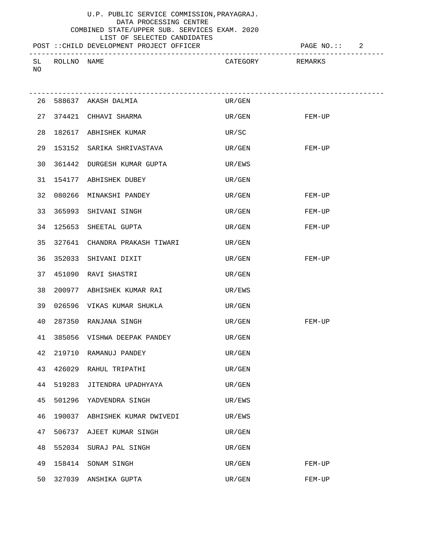LIST OF SELECTED CANDIDATES

#### POST ::CHILD DEVELOPMENT PROJECT OFFICER FOR PAGE NO.:: 2

------------------------------------------------------------------------------------- CATEGORY REMARKS

-------------------------------------------------------------------------------------

NO

| 26 | 588637 | AKASH DALMIA           | UR/GEN |        |
|----|--------|------------------------|--------|--------|
| 27 |        | 374421 CHHAVI SHARMA   | UR/GEN | FEM-UP |
| 28 | 182617 | ABHISHEK KUMAR         | UR/SC  |        |
| 29 | 153152 | SARIKA SHRIVASTAVA     | UR/GEN | FEM-UP |
| 30 | 361442 | DURGESH KUMAR GUPTA    | UR/EWS |        |
| 31 | 154177 | ABHISHEK DUBEY         | UR/GEN |        |
| 32 | 080266 | MINAKSHI PANDEY        | UR/GEN | FEM-UP |
| 33 | 365993 | SHIVANI SINGH          | UR/GEN | FEM-UP |
| 34 | 125653 | SHEETAL GUPTA          | UR/GEN | FEM-UP |
| 35 | 327641 | CHANDRA PRAKASH TIWARI | UR/GEN |        |
| 36 | 352033 | SHIVANI DIXIT          | UR/GEN | FEM-UP |
| 37 | 451090 | RAVI SHASTRI           | UR/GEN |        |
| 38 | 200977 | ABHISHEK KUMAR RAI     | UR/EWS |        |
| 39 | 026596 | VIKAS KUMAR SHUKLA     | UR/GEN |        |
| 40 | 287350 | RANJANA SINGH          | UR/GEN | FEM-UP |
| 41 | 385056 | VISHWA DEEPAK PANDEY   | UR/GEN |        |
| 42 | 219710 | RAMANUJ PANDEY         | UR/GEN |        |
| 43 | 426029 | RAHUL TRIPATHI         | UR/GEN |        |
|    |        |                        |        |        |

45 501296 YADVENDRA SINGH UR/EWS

44 519283 JITENDRA UPADHYAYA UR/GEN

|    |        | 46 190037 ABHISHEK KUMAR DWIVEDI | UR/EWS |        |
|----|--------|----------------------------------|--------|--------|
| 47 |        | 506737 AJEET KUMAR SINGH         | UR/GEN |        |
| 48 |        | 552034 SURAJ PAL SINGH           | UR/GEN |        |
| 49 |        | 158414 SONAM SINGH               | UR/GEN | FEM-UP |
| 50 | 327039 | ANSHIKA GUPTA                    | UR/GEN | FEM-UP |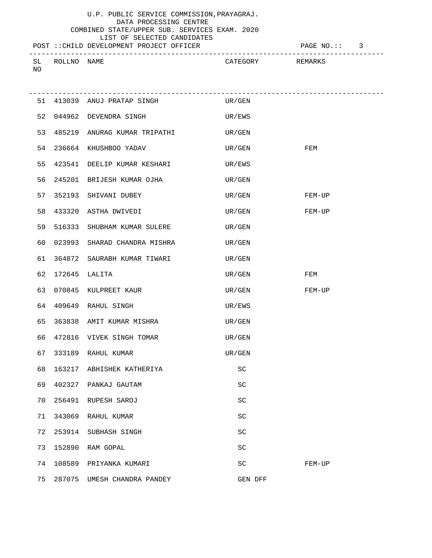## LIST OF SELECTED CANDIDATES

# POST ::CHILD DEVELOPMENT PROJECT OFFICER PAGE NO.:: 3

------------------------------------------------------------------------------------- CATEGORY REMARKS NO

|    |               | 51 413039 ANUJ PRATAP SINGH CONTROLL UR/GEN |        |                  |        |
|----|---------------|---------------------------------------------|--------|------------------|--------|
|    |               | 52 044962 DEVENDRA SINGH                    | UR/EWS |                  |        |
| 53 |               | 485219 ANURAG KUMAR TRIPATHI UR/GEN         |        |                  |        |
| 54 |               | 236664 KHUSHBOO YADAV                       | UR/GEN |                  | FEM    |
|    |               | 55 423541 DEELIP KUMAR KESHARI              | UR/EWS |                  |        |
| 56 |               | 245201 BRIJESH KUMAR OJHA                   | UR/GEN |                  |        |
|    |               | 57 352193 SHIVANI DUBEY                     |        | UR/GEN FEM-UP    |        |
|    |               | 58 433320 ASTHA DWIVEDI                     |        | UR/GEN           | FEM-UP |
| 59 |               | 516333 SHUBHAM KUMAR SULERE                 | UR/GEN |                  |        |
| 60 |               | 023993 SHARAD CHANDRA MISHRA                | UR/GEN |                  |        |
|    |               | 61 364872 SAURABH KUMAR TIWARI              | UR/GEN |                  |        |
| 62 | 172645 LALITA |                                             |        | $\,$ UR/GEN $\,$ | FEM    |
|    |               | 63 070845 KULPREET KAUR                     |        | UR/GEN           | FEM-UP |
|    |               | 64 409649 RAHUL SINGH                       | UR/EWS |                  |        |
| 65 |               | 363838 AMIT KUMAR MISHRA                    | UR/GEN |                  |        |
| 66 |               | 472816 VIVEK SINGH TOMAR                    | UR/GEN |                  |        |
| 67 |               | 333189 RAHUL KUMAR                          | UR/GEN |                  |        |
| 68 |               | 163217 ABHISHEK KATHERIYA                   |        | SC               |        |
|    |               | 69 402327 PANKAJ GAUTAM                     |        | SC               |        |
|    |               | 70 256491 RUPESH SAROJ                      |        | <b>SC</b>        |        |
| 71 | 343069        | RAHUL KUMAR                                 |        | SC               |        |
| 72 | 253914        | SUBHASH SINGH                               |        | <b>SC</b>        |        |
| 73 | 152890        | RAM GOPAL                                   |        | <b>SC</b>        |        |
| 74 | 108589        | PRIYANKA KUMARI                             |        | SC               | FEM-UP |
| 75 | 287075        | UMESH CHANDRA PANDEY                        |        | GEN DFF          |        |